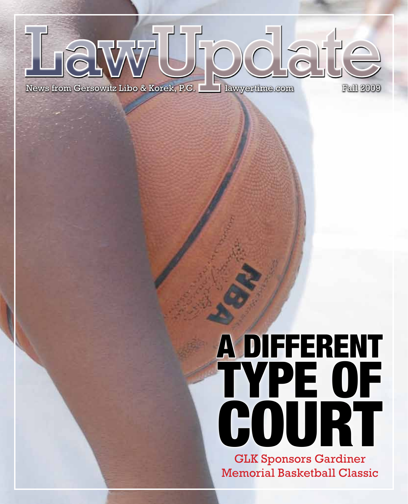

# A Different Type of **COURT**

GLK Sponsors Gardiner Memorial Basketball Classic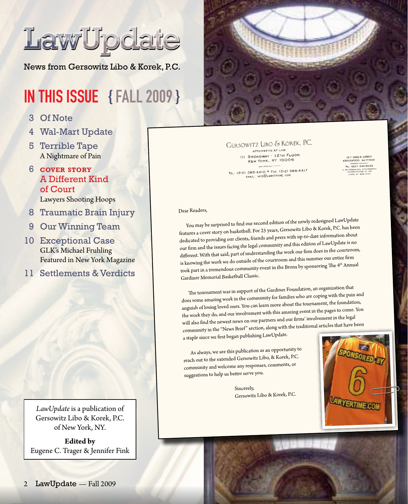

News from Gersowitz Libo & Korek, P.C.

## IN THIS ISSUE { Fall 2009 }

- 3 Of Note
- 4 Wal-Mart Update
- 5 Terrible Tape A Nightmare of Pain

#### 6 **cover story** A Different Kind of Court Lawyers Shooting Hoops

- 8 Traumatic Brain Injury
- 9 Our Winning Team
- 10 Exceptional Case GLK's Michael Fruhling Featured in New York Magazine
- 11 Settlements & Verdicts

*LawUpdate* is a publication of Gersowitz Libo & Korek, P.C. of New York, NY.

**Edited by** Eugene C. Trager & Jennifer Fink



#### GERSOWITZ LIBO & KOREK, P.C.

ATTORNEYS AT LAV ATTORNEYS AT LAW<br>III BROADWAY - I2TH FLOOR<br>NEW YORK, NY 10006

157 ENGLE STREET

TEL: (212) 385-4410 \* FAX: (212) 385-4417

Dear Readers,

You may be surprised to find our second edition of the newly redesigne<sup>d</sup> LawUpdate features <sup>a</sup> cover story on basketball. For <sup>25</sup> years, Gersowitz Libo & Korek, P.C. has been dedicated to providing our clients, friends and peers with up-to-date information about our firm and the issues facing the legal community and this edition of LawUpdate is no different. With that said, par<sup>t</sup> of understanding the work our firm does in the courtroom, is knowing the work we do outside of the courtroom and this summer our entire firm took part in a tremendous community event in the Bronx by sponsoring The 4<sup>th</sup> Annual Gardiner Memorial Basketball Classic.

The tournament was in suppor<sup>t</sup> of the Gardiner Foundation, an organization that does some amazing work in the community for families who are coping with the pain and anguish of losing loved ones. You can learn more about the tournament, the foundation, the work they do, and our involvement with this amazing event in the pages to come. You will also find the newest news on our partners and our firms' involvement in the legal community in the "News Brief" section, along with the traditional articles that have been

<sup>a</sup> staple since we first began publishing LawUpdate.

As always, we see this publication as an opportunity to reach out to the extended Gersowitz Libo, & Korek, P.C. community and welcome any responses, comments, or suggestions to help us better serve you.

> Sincerely, Gersowitz Libo & Korek, P.C.

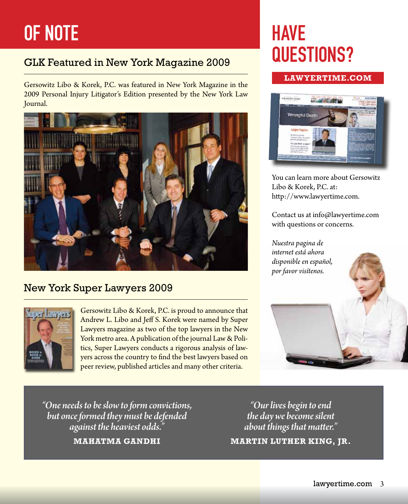# OF NOTE

### GLK Featured in New York Magazine 2009

Gersowitz Libo & Korek, P.C. was featured in New York Magazine in the 2009 Personal Injury Litigator's Edition presented by the New York Law Journal.



### New York Super Lawyers 2009



Gersowitz Libo & Korek, P.C. is proud to announce that Andrew L. Libo and Jeff S. Korek were named by Super Lawyers magazine as two of the top lawyers in the New York metro area. A publication of the journal Law & Politics, Super Lawyers conducts a rigorous analysis of lawyers across the country to find the best lawyers based on peer review, published articles and many other criteria.

# **HAVE** Questions?

#### **Lawyertime.com**



You can learn more about Gersowitz Libo & Korek, P.C. at: http://www.lawyertime.com.

Contact us at info@lawyertime.com with questions or concerns.

*Nuestra pagina de internet está ahora disponible en español, por favor visítenos.*

*"One needs to be slow to form convictions, but once formed they must be defended against the heaviest odds."*

**Mahatma Gandhi**

*"Our lives begin to end the day we become silent about things that matter."* **Martin Luther King, Jr.**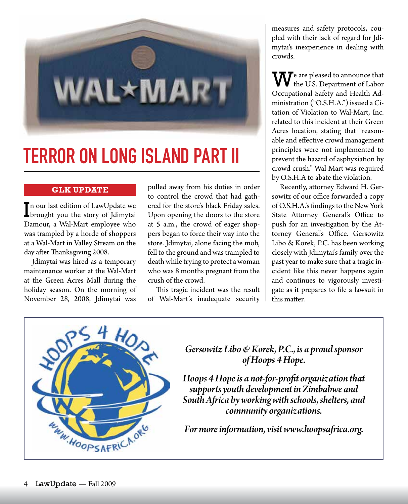

# Terror On Long Island part II

#### **GLK UPDATE**

In our last edition of LawUpdate we<br>brought you the story of Jdimytai **L** brought you the story of Jdimytai Damour, a Wal-Mart employee who was trampled by a horde of shoppers at a Wal-Mart in Valley Stream on the day after Thanksgiving 2008.

Jdimytai was hired as a temporary maintenance worker at the Wal-Mart at the Green Acres Mall during the holiday season. On the morning of November 28, 2008, Jdimytai was

pulled away from his duties in order to control the crowd that had gathered for the store's black Friday sales. Upon opening the doors to the store at 5 a.m., the crowd of eager shoppers began to force their way into the store. Jdimytai, alone facing the mob, fell to the ground and was trampled to death while trying to protect a woman who was 8 months pregnant from the crush of the crowd.

This tragic incident was the result of Wal-Mart's inadequate security

measures and safety protocols, coupled with their lack of regard for Jdimytai's inexperience in dealing with crowds.

 $\mathbf{W}$ <sup>e</sup> are pleased to announce that the U.S. Department of Labor Occupational Safety and Health Administration ("O.S.H.A.") issued a Citation of Violation to Wal-Mart, Inc. related to this incident at their Green Acres location, stating that "reasonable and effective crowd management principles were not implemented to prevent the hazard of asphyxiation by crowd crush." Wal-Mart was required by O.S.H.A to abate the violation.

Recently, attorney Edward H. Gersowitz of our office forwarded a copy of O.S.H.A.'s findings to the New York State Attorney General's Office to push for an investigation by the Attorney General's Office. Gersowitz Libo & Korek, P.C. has been working closely with Jdimytai's family over the past year to make sure that a tragic incident like this never happens again and continues to vigorously investigate as it prepares to file a lawsuit in this matter.



*Gersowitz Libo & Korek, P.C., is a proud sponsor of Hoops 4 Hope.* 

*Hoops 4 Hope is a not-for-profit organization that supports youth development in Zimbabwe and South Africa by working with schools, shelters, and community organizations.* 

*For more information, visit www.hoopsafrica.org.*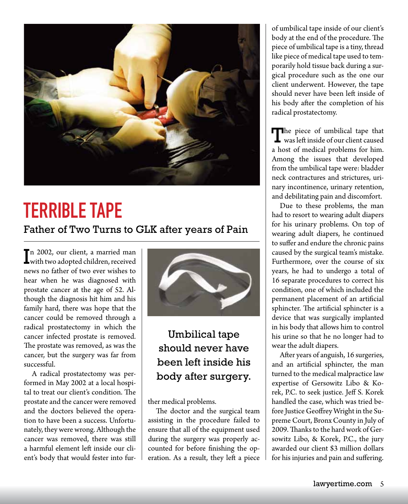

# Terrible Tape

Father of Two Turns to GLK after years of Pain

In 2002, our client, a married man<br>with two adopted children, received I with two adopted children, received news no father of two ever wishes to hear when he was diagnosed with prostate cancer at the age of 52. Although the diagnosis hit him and his family hard, there was hope that the cancer could be removed through a radical prostatectomy in which the cancer infected prostate is removed. The prostate was removed, as was the cancer, but the surgery was far from successful.

A radical prostatectomy was performed in May 2002 at a local hospital to treat our client's condition. The prostate and the cancer were removed and the doctors believed the operation to have been a success. Unfortunately, they were wrong. Although the cancer was removed, there was still a harmful element left inside our client's body that would fester into fur-



### Umbilical tape should never have been left inside his body after surgery.

ther medical problems.

The doctor and the surgical team assisting in the procedure failed to ensure that all of the equipment used during the surgery was properly accounted for before finishing the operation. As a result, they left a piece

of umbilical tape inside of our client's body at the end of the procedure. The piece of umbilical tape is a tiny, thread like piece of medical tape used to temporarily hold tissue back during a surgical procedure such as the one our client underwent. However, the tape should never have been left inside of his body after the completion of his radical prostatectomy.

The piece of umbilical tape that<br>was left inside of our client caused a host of medical problems for him. Among the issues that developed from the umbilical tape were: bladder neck contractures and strictures, urinary incontinence, urinary retention, and debilitating pain and discomfort.

Due to these problems, the man had to resort to wearing adult diapers for his urinary problems. On top of wearing adult diapers, he continued to suffer and endure the chronic pains caused by the surgical team's mistake. Furthermore, over the course of six years, he had to undergo a total of 16 separate procedures to correct his condition, one of which included the permanent placement of an artificial sphincter. The artificial sphincter is a device that was surgically implanted in his body that allows him to control his urine so that he no longer had to wear the adult diapers.

After years of anguish, 16 surgeries, and an artificial sphincter, the man turned to the medical malpractice law expertise of Gersowitz Libo & Korek, P.C. to seek justice. Jeff S. Korek handled the case, which was tried before Justice Geoffrey Wright in the Supreme Court, Bronx County in July of 2009. Thanks to the hard work of Gersowitz Libo, & Korek, P.C., the jury awarded our client \$3 million dollars for his injuries and pain and suffering.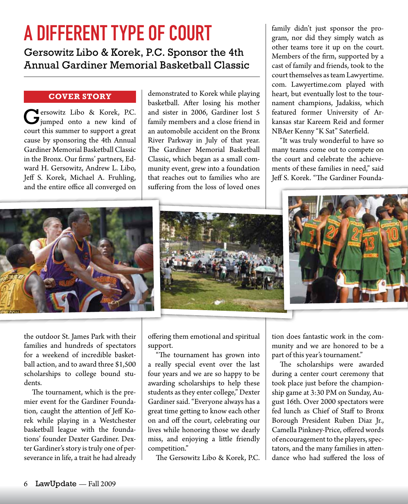# A Different Type of Court

Gersowitz Libo & Korek, P.C. Sponsor the 4th Annual Gardiner Memorial Basketball Classic

#### **Cover Story**

Gersowitz Libo & Korek, P.C. jumped onto a new kind of court this summer to support a great cause by sponsoring the 4th Annual Gardiner Memorial BasketballClassic in the Bronx. Our firms' partners, Edward H. Gersowitz, Andrew L. Libo, Jeff S. Korek, Michael A. Fruhling, and the entire office all converged on

demonstrated to Korek while playing basketball. After losing his mother and sister in 2006, Gardiner lost 5 family members and a close friend in an automobile accident on the Bronx River Parkway in July of that year. The Gardiner Memorial Basketball Classic, which began as a small community event, grew into a foundation that reaches out to families who are suffering from the loss of loved ones

family didn't just sponsor the program, nor did they simply watch as other teams tore it up on the court. Members of the firm, supported by a cast of family and friends, took to the court themselves asteamLawyertime. com. Lawyertime.com played with heart, but eventually lost to the tournament champions, Jadakiss, which featured former University of Arkansas star Kareem Reid and former NBAer Kenny "K Sat" Saterfield.

"It was truly wonderful to have so many teams come out to compete on the court and celebrate the achievements of these families in need," said Jeff S. Korek. "The Gardiner Founda-







the outdoor St. James Park with their families and hundreds of spectators for a weekend of incredible basketball action, and to award three \$1,500 scholarships to college bound students.

The tournament, which is the premier event for the Gardiner Foundation, caught the attention of Jeff Korek while playing in a Westchester basketball league with the foundations' founder Dexter Gardiner. Dexter Gardiner's story is truly one of perseverance in life, a trait he had already offering them emotional and spiritual support.

"The tournament has grown into a really special event over the last four years and we are so happy to be awarding scholarships to help these students as they enter college," Dexter Gardiner said. "Everyone always has a great time getting to know each other on and off the court, celebrating our lives while honoring those we dearly miss, and enjoying a little friendly competition."

The Gersowitz Libo & Korek, P.C.

tion does fantastic work in the community and we are honored to be a part of this year's tournament."

The scholarships were awarded during a center court ceremony that took place just before the championship game at 3:30 PM on Sunday, August 16th. Over 2000 spectators were fed lunch as Chief of Staff to Bronx Borough President Ruben Diaz Jr., Camella Pinkney-Price, offered words of encouragement to the players, spectators, and the many families in attendance who had suffered the loss of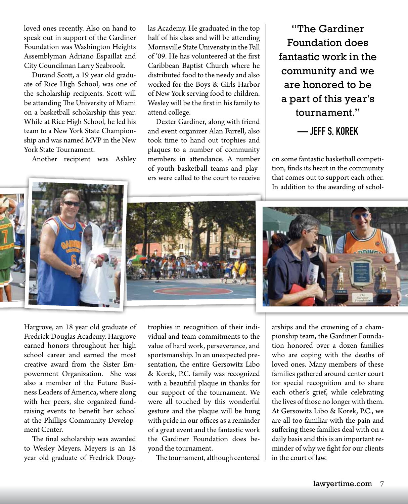loved ones recently. Also on hand to speak out in support of the Gardiner Foundation was Washington Heights Assemblyman Adriano Espaillat and City Councilman Larry Seabrook.

Durand Scott, a 19 year old graduate of Rice High School, was one of the scholarship recipients. Scott will be attending The University of Miami on a basketball scholarship this year. While at Rice High School, he led his team to a New York State Championship and was named MVP in the New York State Tournament.

Another recipient was Ashley

las Academy. He graduated in the top half of his class and will be attending Morrisville State University in the Fall of '09. He has volunteered at the first Caribbean Baptist Church where he distributed food to the needy and also worked for the Boys & Girls Harbor of New York serving food to children. Wesley will be the first in his family to attend college.

Dexter Gardiner, along with friend and event organizer Alan Farrell, also took time to hand out trophies and plaques to a number of community members in attendance. A number of youth basketball teams and players were called to the court to receive

"The Gardiner Foundation does fantastic work in the community and we are honored to be a part of this year's tournament."

— Jeff S. Korek

on some fantastic basketball competition, finds its heart in the community that comes out to support each other. In addition to the awarding of schol-



Hargrove, an 18 year old graduate of Fredrick Douglas Academy. Hargrove earned honors throughout her high school career and earned the most creative award from the Sister Empowerment Organization. She was also a member of the Future Business Leaders of America, where along with her peers, she organized fundraising events to benefit her school at the Phillips Community Development Center.

The final scholarship was awarded to Wesley Meyers. Meyers is an 18 year old graduate of Fredrick Doug-

trophies in recognition of their individual and team commitments to the value of hard work, perseverance, and sportsmanship. In an unexpected presentation, the entire Gersowitz Libo & Korek, P.C. family was recognized with a beautiful plaque in thanks for our support of the tournament. We were all touched by this wonderful gesture and the plaque will be hung with pride in our offices as a reminder of a great event and the fantastic work the Gardiner Foundation does beyond the tournament.

The tournament, although centered



arships and the crowning of a championship team, the Gardiner Foundation honored over a dozen families who are coping with the deaths of loved ones. Many members of these families gathered around center court for special recognition and to share each other's grief, while celebrating the lives of those no longer with them. At Gersowitz Libo & Korek, P.C., we are all too familiar with the pain and suffering these families deal with on a daily basis and this is an important reminder of why we fight for our clients in the court of law.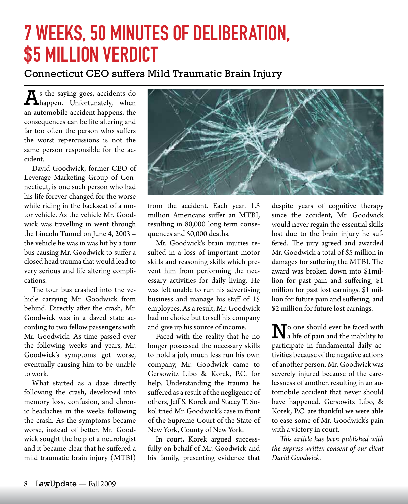# 7 Weeks, 50 Minutes of Deliberation, **\$5 MILLION VERDICT**

### Connecticut CEO suffers Mild Traumatic Brain Injury

A<sup>s</sup> the saying goes, accidents do happen. Unfortunately, when an automobile accident happens, the consequences can be life altering and far too often the person who suffers the worst repercussions is not the same person responsible for the accident.

David Goodwick, former CEO of Leverage Marketing Group of Connecticut, is one such person who had his life forever changed for the worse while riding in the backseat of a motor vehicle. As the vehicle Mr. Goodwick was travelling in went through the Lincoln Tunnel on June 4, 2003 – the vehicle he was in was hit by a tour bus causing Mr. Goodwick to suffer a closed head trauma that would lead to very serious and life altering complications.

The tour bus crashed into the vehicle carrying Mr. Goodwick from behind. Directly after the crash, Mr. Goodwick was in a dazed state according to two fellow passengers with Mr. Goodwick. As time passed over the following weeks and years, Mr. Goodwick's symptoms got worse, eventually causing him to be unable to work.

What started as a daze directly following the crash, developed into memory loss, confusion, and chronic headaches in the weeks following the crash. As the symptoms became worse, instead of better, Mr. Goodwick sought the help of a neurologist and it became clear that he suffered a mild traumatic brain injury (MTBI)



from the accident. Each year, 1.5 million Americans suffer an MTBI, resulting in 80,000 long term consequences and 50,000 deaths.

Mr. Goodwick's brain injuries resulted in a loss of important motor skills and reasoning skills which prevent him from performing the necessary activities for daily living. He was left unable to run his advertising business and manage his staff of 15 employees. As a result, Mr. Goodwick had no choice but to sell his company and give up his source of income.

Faced with the reality that he no longer possessed the necessary skills to hold a job, much less run his own company, Mr. Goodwick came to Gersowitz Libo & Korek, P.C. for help. Understanding the trauma he suffered as a result of the negligence of others, Jeff S. Korek and Stacey T. Sokol tried Mr. Goodwick's case in front of the Supreme Court of the State of New York, County of New York.

In court, Korek argued successfully on behalf of Mr. Goodwick and his family, presenting evidence that

despite years of cognitive therapy since the accident, Mr. Goodwick would never regain the essential skills lost due to the brain injury he suffered. The jury agreed and awarded Mr. Goodwick a total of \$5 million in damages for suffering the MTBI. The award was broken down into \$1million for past pain and suffering, \$1 million for past lost earnings, \$1 million for future pain and suffering, and \$2 million for future lost earnings.

N<sup>o</sup> one should ever be faced with a life of pain and the inability to participate in fundamental daily activities because of the negative actions of another person. Mr. Goodwick was severely injured because of the carelessness of another, resulting in an automobile accident that never should have happened. Gersowitz Libo, & Korek, P.C. are thankful we were able to ease some of Mr. Goodwick's pain with a victory in court.

*This article has been published with the express written consent of our client David Goodwick.*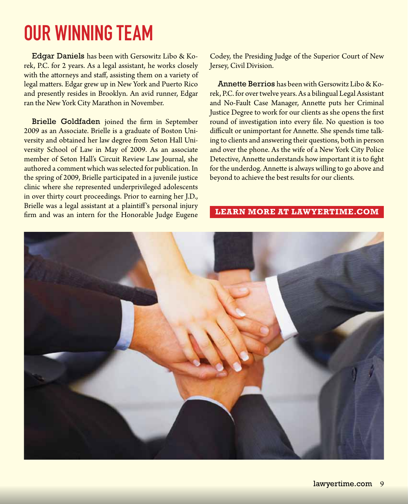# Our Winning Team

Edgar Daniels has been with Gersowitz Libo & Korek, P.C. for 2 years. As a legal assistant, he works closely with the attorneys and staff, assisting them on a variety of legal matters. Edgar grew up in New York and Puerto Rico and presently resides in Brooklyn. An avid runner, Edgar ran the New York City Marathon in November.

Brielle Goldfaden joined the firm in September 2009 as an Associate. Brielle is a graduate of Boston University and obtained her law degree from Seton Hall University School of Law in May of 2009. As an associate member of Seton Hall's Circuit Review Law Journal, she authored a comment which was selected for publication. In the spring of 2009, Brielle participated in a juvenile justice clinic where she represented underprivileged adolescents in over thirty court proceedings. Prior to earning her J.D., Brielle was a legal assistant at a plaintiff's personal injury firm and was an intern for the Honorable Judge Eugene

Codey, the Presiding Judge of the Superior Court of New Jersey, Civil Division.

Annette Berrios has beenwith Gersowitz Libo & Korek, P.C. for over twelve years. As a bilingual Legal Assistant and No-Fault Case Manager, Annette puts her Criminal Justice Degree to work for our clients as she opens the first round of investigation into every file. No question is too difficult or unimportant for Annette. She spends time talking to clients and answering their questions, both in person and over the phone. As the wife of a New York City Police Detective, Annette understands how important it is to fight for the underdog. Annette is always willing to go above and beyond to achieve the best results for our clients.

#### **Learn more at lawyertime.com**

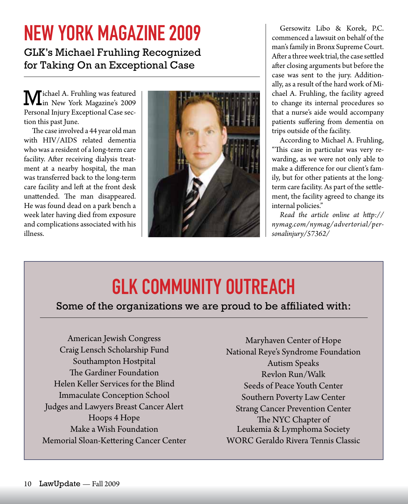# New York Magazine 2009

GLK's Michael Fruhling Recognized for Taking On an Exceptional Case

Michael A. Fruhling was featured in New York Magazine's 2009 Personal Injury Exceptional Case section this past June.

The case involved a 44 year old man with HIV/AIDS related dementia who was a resident of a long-term care facility. After receiving dialysis treatment at a nearby hospital, the man was transferred back to the long-term care facility and left at the front desk unattended. The man disappeared. He was found dead on a park bench a week later having died from exposure and complications associated with his illness.



Gersowitz Libo & Korek, P.C. commenced a lawsuit on behalf of the man's family in Bronx Supreme Court. After a three week trial, the case settled after closing arguments but before the case was sent to the jury. Additionally, as a result of the hard work of Michael A. Fruhling, the facility agreed to change its internal procedures so that a nurse's aide would accompany patients suffering from dementia on trips outside of the facility.

According to Michael A. Fruhling, "This case in particular was very rewarding, as we were not only able to make a difference for our client's family, but for other patients at the longterm care facility. As part of the settlement, the facility agreed to change its internal policies."

*Read the article online at http:// nymag.com/nymag/advertorial/personalinjury/57362/*

# GLK COMMUNITY OUTREACH

### Some of the organizations we are proud to be affiliated with:

American Jewish Congress Craig Lensch Scholarship Fund Southampton Hostpital The Gardiner Foundation Helen Keller Services for the Blind Immaculate Conception School Judges and Lawyers Breast Cancer Alert Hoops 4 Hope Make a Wish Foundation Memorial Sloan-Kettering Cancer Center

Maryhaven Center of Hope National Reye's Syndrome Foundation Autism Speaks Revlon Run/Walk Seeds of Peace Youth Center Southern Poverty Law Center Strang Cancer Prevention Center The NYC Chapter of Leukemia & Lymphoma Society WORC Geraldo Rivera Tennis Classic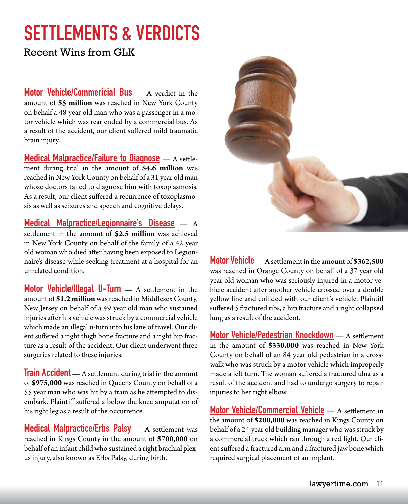# SETTLEMENTS & VERDICTS

Recent Wins from GLK

Motor Vehicle/Commericial Bus – A verdict in the amount of **\$5 million** was reached in New York County on behalf a 48 year old man who was a passenger in a motor vehicle which was rear ended by a commercial bus. As a result of the accident, our client suffered mild traumatic brain injury.

**Medical Malpractice/Failure to Diagnose** – A settlement during trial in the amount of **\$4.6 million** was reached in NewYorkCounty on behalf of a 31 year old man whose doctors failed to diagnose him with toxoplasmosis. As a result, our client suffered a recurrence of toxoplasmosis as well as seizures and speech and cognitive delays.

Medical Malpractice/Legionnaire's Disease — A settlement in the amount of **\$2.5 million** was achieved in New York County on behalf of the family of a 42 year old woman who died after having been exposed to Legionnaire's disease while seeking treatment at a hospital for an unrelated condition.

Motor Vehicle/Illegal U-Turn — A settlement in the amount of **\$1.2 million** was reached in Middlesex County, New Jersey on behalf of a 49 year old man who sustained injuries after his vehicle was struck by a commercial vehicle which made an illegal u-turn into his lane of travel. Our client suffered a right thigh bone fracture and a right hip fracture as a result of the accident. Our client underwent three surgeries related to these injuries.

**Train Accident** — A settlement during trial in the amount of **\$975,000** was reached in Queens County on behalf of a 55 year man who was hit by a train as he attempted to disembark. Plaintiff suffered a below the knee amputation of his right leg as a result of the occurrence.

**Medical Malpractice/Erbs Palsy**  $\rightarrow$  A settlement was reached in Kings County in the amount of **\$700,000** on behalf of an infant childwho sustained a right brachial plexus injury, also known as Erbs Palsy, during birth.



Motor Vehicle—A settlement in the amount of **\$362,500** was reached in Orange County on behalf of a 37 year old year old woman who was seriously injured in a motor vehicle accident after another vehicle crossed over a double yellow line and collided with our client's vehicle. Plaintiff suffered 5 fractured ribs, a hip fracture and a right collapsed lung as a result of the accident.

Motor Vehicle/Pedestrian Knockdown — A settlement in the amount of **\$330,000** was reached in New York County on behalf of an 84 year old pedestrian in a crosswalk who was struck by a motor vehicle which improperly made a left turn. The woman suffered a fractured ulna as a result of the accident and had to undergo surgery to repair injuries to her right elbow.

**Motor Vehicle/Commercial Vehicle** — A settlement in the amount of **\$200,000** was reached in Kings County on behalf of a 24 year old building manager who was struck by a commercial truck which ran through a red light. Our client suffered a fractured arm and a fractured jaw bone which required surgical placement of an implant.